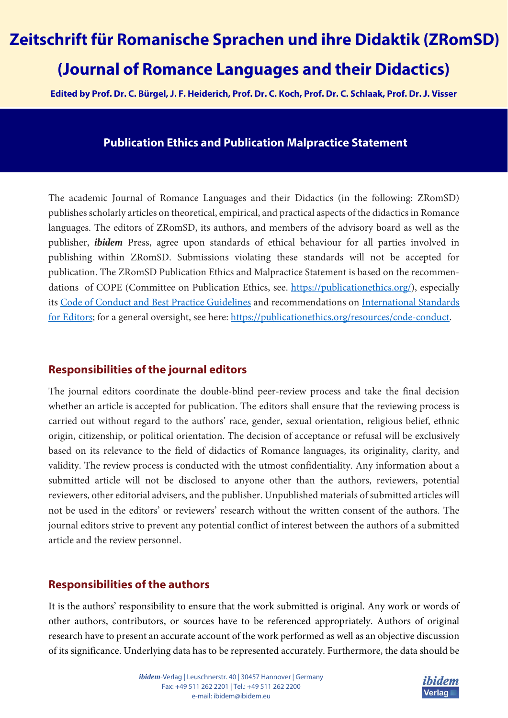# **Zeitschrift für Romanische Sprachen und ihre Didaktik (ZRomSD) (Journal of Romance Languages and their Didactics)**

**Edited by Prof. Dr. C. Bürgel, J. F. Heiderich, Prof. Dr. C. Koch, Prof. Dr. C. Schlaak, Prof. Dr. J. Visser** 

### **Publication Ethics and Publication Malpractice Statement**

The academic Journal of Romance Languages and their Didactics (in the following: ZRomSD) publishes scholarly articles on theoretical, empirical, and practical aspects of the didactics in Romance languages. The editors of ZRomSD, its authors, and members of the advisory board as well as the publisher, *ibidem* Press, agree upon standards of ethical behaviour for all parties involved in publishing within ZRomSD. Submissions violating these standards will not be accepted for publication. The ZRomSD Publication Ethics and Malpractice Statement is based on the recommendations of COPE (Committee on Publication Ethics, see. https://publicationethics.org/), especially its Code of Conduct and Best Practice Guidelines and recommendations on International Standards for Editors; for a general oversight, see here: https://publicationethics.org/resources/code-conduct.

#### **Responsibilities of the journal editors**

The journal editors coordinate the double-blind peer-review process and take the final decision whether an article is accepted for publication. The editors shall ensure that the reviewing process is carried out without regard to the authors' race, gender, sexual orientation, religious belief, ethnic origin, citizenship, or political orientation. The decision of acceptance or refusal will be exclusively based on its relevance to the field of didactics of Romance languages, its originality, clarity, and validity. The review process is conducted with the utmost confidentiality. Any information about a submitted article will not be disclosed to anyone other than the authors, reviewers, potential reviewers, other editorial advisers, and the publisher. Unpublished materials of submitted articles will not be used in the editors' or reviewers' research without the written consent of the authors. The journal editors strive to prevent any potential conflict of interest between the authors of a submitted article and the review personnel.

## **Responsibilities of the authors**

It is the authors' responsibility to ensure that the work submitted is original. Any work or words of other authors, contributors, or sources have to be referenced appropriately. Authors of original research have to present an accurate account of the work performed as well as an objective discussion of its significance. Underlying data has to be represented accurately. Furthermore, the data should be